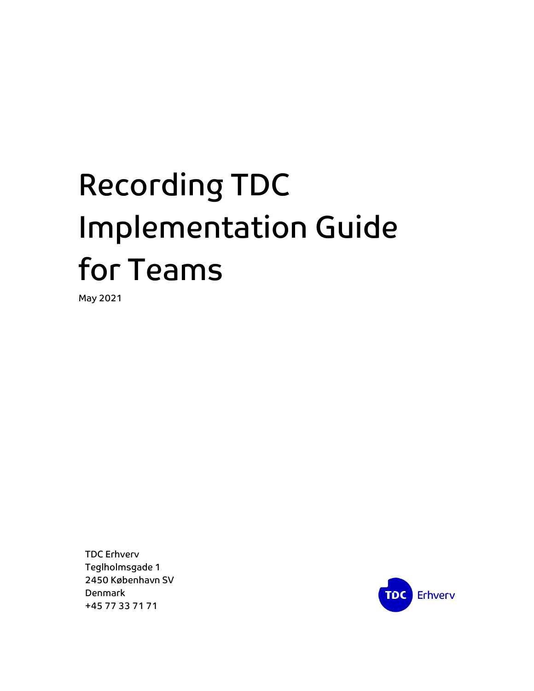# Recording TDC Implementation Guide for Teams

May 2021

TDC Erhverv Teglholmsgade 1 2450 København SV Denmark +45 77 33 71 71

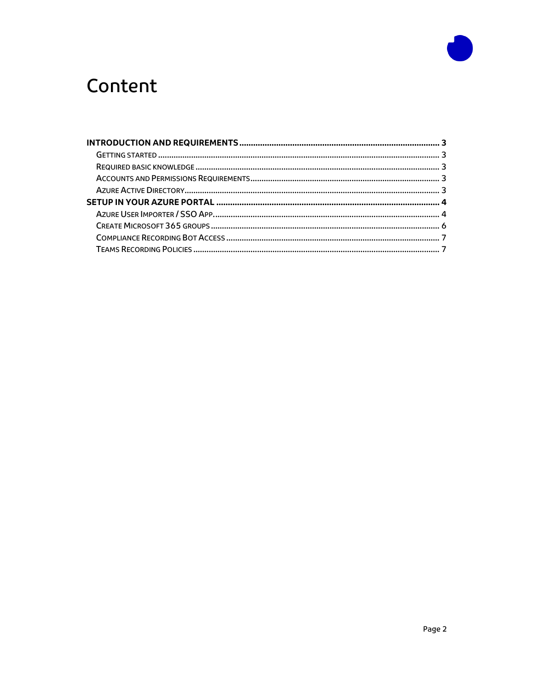

# Content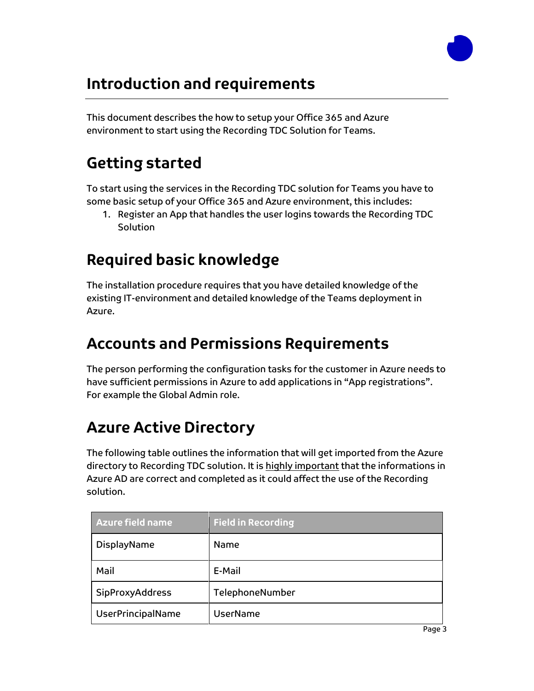

## <span id="page-2-0"></span>**Introduction and requirements**

This document describes the how to setup your Office 365 and Azure environment to start using the Recording TDC Solution for Teams.

## <span id="page-2-1"></span>**Getting started**

To start using the services in the Recording TDC solution for Teams you have to some basic setup of your Office 365 and Azure environment, this includes:

1. Register an App that handles the user logins towards the Recording TDC **Solution** 

### <span id="page-2-2"></span>**Required basic knowledge**

The installation procedure requires that you have detailed knowledge of the existing IT-environment and detailed knowledge of the Teams deployment in Azure.

#### <span id="page-2-3"></span>**Accounts and Permissions Requirements**

The person performing the configuration tasks for the customer in Azure needs to have sufficient permissions in Azure to add applications in "App registrations". For example the Global Admin role.

# <span id="page-2-4"></span>**Azure Active Directory**

The following table outlines the information that will get imported from the Azure directory to Recording TDC solution. It is highly important that the informations in Azure AD are correct and completed as it could affect the use of the Recording solution.

| <b>Azure field name</b> | <b>Field in Recording</b> |
|-------------------------|---------------------------|
| DisplayName             | Name                      |
| Mail                    | E-Mail                    |
| SipProxyAddress         | TelephoneNumber           |
| UserPrincipalName       | UserName                  |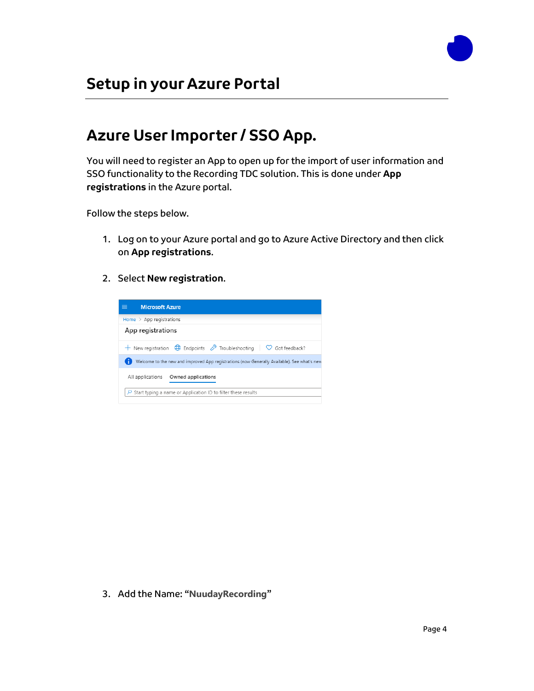

#### <span id="page-3-1"></span><span id="page-3-0"></span>**Azure User Importer / SSO App.**

You will need to register an App to open up for the import of user information and SSO functionality to the Recording TDC solution. This is done under **App registrations** in the Azure portal.

Follow the steps below.

- 1. Log on to your Azure portal and go to Azure Active Directory and then click on **App registrations**.
- 2. Select **New registration**.



3. Add the Name: "**NuudayRecording**"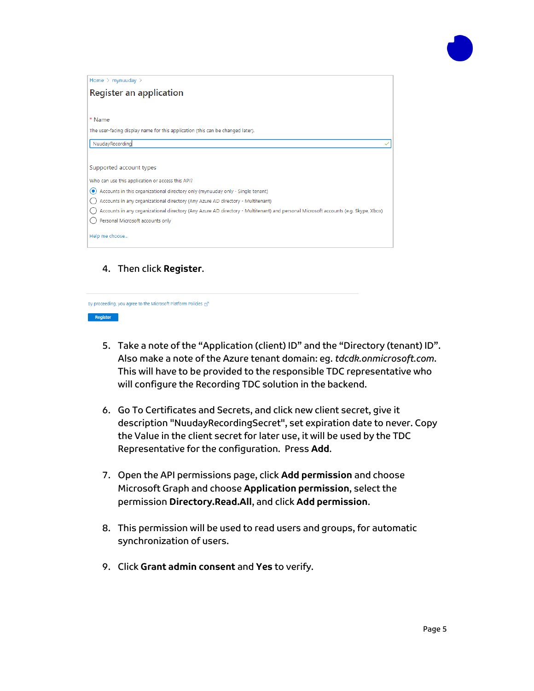

| Home $>$ mynuuday $>$                                                                                                              |
|------------------------------------------------------------------------------------------------------------------------------------|
| Register an application                                                                                                            |
|                                                                                                                                    |
| * Name                                                                                                                             |
| The user-facing display name for this application (this can be changed later).                                                     |
| NuudayRecording                                                                                                                    |
|                                                                                                                                    |
| Supported account types                                                                                                            |
| Who can use this application or access this API?                                                                                   |
| Accounts in this organizational directory only (mynuuday only - Single tenant)<br>⊙                                                |
| Accounts in any organizational directory (Any Azure AD directory - Multitenant)                                                    |
| Accounts in any organizational directory (Any Azure AD directory - Multitenant) and personal Microsoft accounts (e.g. Skype, Xbox) |
| Personal Microsoft accounts only                                                                                                   |
| Help me choose                                                                                                                     |

4. Then click **Register**.



- 5. Take a note of the "Application (client) ID" and the "Directory (tenant) ID". Also make a note of the Azure tenant domain: eg. *tdcdk.onmicrosoft.com*. This will have to be provided to the responsible TDC representative who will configure the Recording TDC solution in the backend.
- 6. Go To Certificates and Secrets, and click new client secret, give it description "NuudayRecordingSecret", set expiration date to never. Copy the Value in the client secret for later use, it will be used by the TDC Representative for the configuration. Press **Add**.
- 7. Open the API permissions page, click **Add permission** and choose Microsoft Graph and choose **Application permission**, select the permission **Directory.Read.All**, and click **Add permission**.
- 8. This permission will be used to read users and groups, for automatic synchronization of users.
- 9. Click **Grant admin consent** and **Yes** to verify.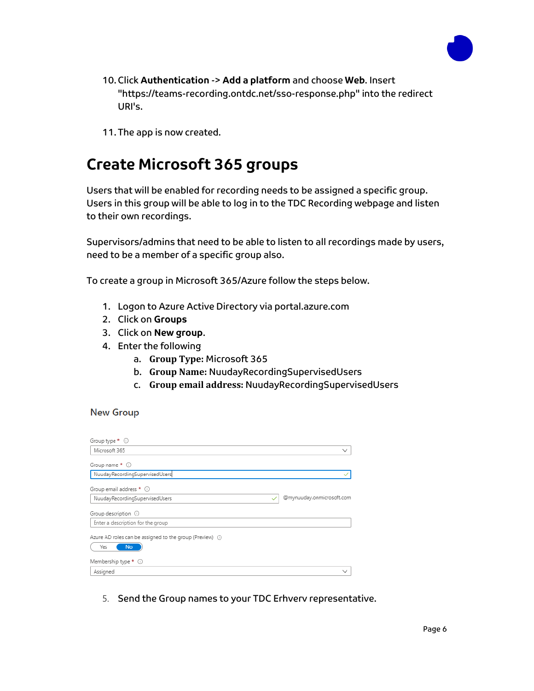

- 10. Click **Authentication** -> **Add a platform** and choose **Web**. Insert "https://teams-recording.ontdc.net/sso-response.php" into the redirect URI's.
- 11. The app is now created.

#### <span id="page-5-0"></span>**Create Microsoft 365 groups**

Users that will be enabled for recording needs to be assigned a specific group. Users in this group will be able to log in to the TDC Recording webpage and listen to their own recordings.

Supervisors/admins that need to be able to listen to all recordings made by users, need to be a member of a specific group also.

To create a group in Microsoft 365/Azure follow the steps below.

- 1. Logon to Azure Active Directory via portal.azure.com
- 2. Click on **Groups**
- 3. Click on **New group**.
- 4. Enter the following
	- a. **Group Type:** Microsoft 365
	- b. **Group Name:** NuudayRecordingSupervisedUsers
	- c. **Group email address:** NuudayRecordingSupervisedUsers

#### **New Group**

| Group type $*$ $\circledcirc$                                                 |                           |
|-------------------------------------------------------------------------------|---------------------------|
| Microsoft 365                                                                 | $\checkmark$              |
| Group name * 0                                                                |                           |
| NuudayRecordingSupervisedUsers                                                |                           |
| Group email address * 0                                                       |                           |
| NuudayRecordingSupervisedUsers                                                | @mynuuday.onmicrosoft.com |
| Group description $\mathbb O$                                                 |                           |
| Enter a description for the group                                             |                           |
| Azure AD roles can be assigned to the group (Preview) (i)<br>Yes<br><b>No</b> |                           |
| Membership type $\star$ $\circledcirc$                                        |                           |
| Assigned                                                                      | $\check{ }$               |

5. Send the Group names to your TDC Erhverv representative.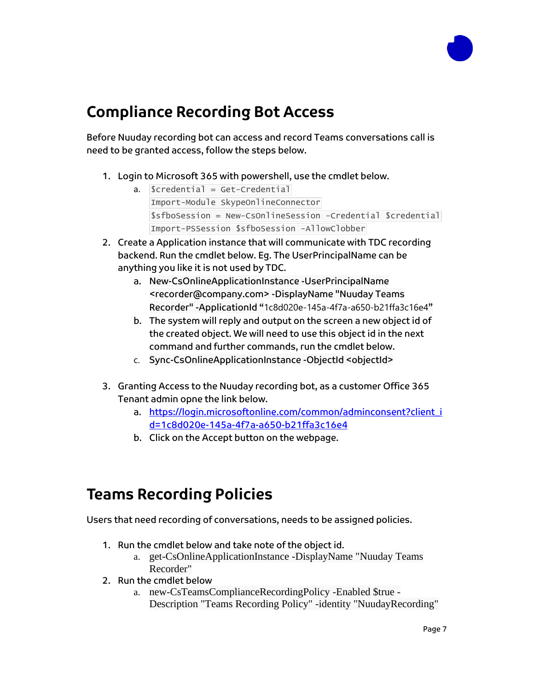

#### <span id="page-6-0"></span>**Compliance Recording Bot Access**

Before Nuuday recording bot can access and record Teams conversations call is need to be granted access, follow the steps below.

- 1. Login to Microsoft 365 with powershell, use the cmdlet below.
	- a.  $\text{Scredential} = \text{Get-Credential}$ Import-Module SkypeOnlineConnector \$sfboSession = New-CsOnlineSession -Credential \$credential Import-PSSession \$sfboSession -AllowClobber
- 2. Create a Application instance that will communicate with TDC recording backend. Run the cmdlet below. Eg. The UserPrincipalName can be anything you like it is not used by TDC.
	- a. New-CsOnlineApplicationInstance -UserPrincipalName <recorder@company.com> -DisplayName "Nuuday Teams Recorder" -ApplicationId "1c8d020e-145a-4f7a-a650-b21ffa3c16e4"
	- b. The system will reply and output on the screen a new object id of the created object. We will need to use this object id in the next command and further commands, run the cmdlet below.
	- c. Sync-CsOnlineApplicationInstance -ObjectId <objectId>
- 3. Granting Access to the Nuuday recording bot, as a customer Office 365 Tenant admin opne the link below.
	- a. [https://login.microsoftonline.com/common/adminconsent?client\\_i](https://login.microsoftonline.com/common/adminconsent?client_id=1c8d020e-145a-4f7a-a650-b21ffa3c16e4) [d=1c8d020e-145a-4f7a-a650-b21ffa3c16e4](https://login.microsoftonline.com/common/adminconsent?client_id=1c8d020e-145a-4f7a-a650-b21ffa3c16e4)
	- b. Click on the Accept button on the webpage.

#### <span id="page-6-1"></span>**Teams Recording Policies**

Users that need recording of conversations, needs to be assigned policies.

- 1. Run the cmdlet below and take note of the object id.
	- a. get-CsOnlineApplicationInstance -DisplayName "Nuuday Teams Recorder"
- 2. Run the cmdlet below
	- a. new-CsTeamsComplianceRecordingPolicy -Enabled \$true Description "Teams Recording Policy" -identity "NuudayRecording"